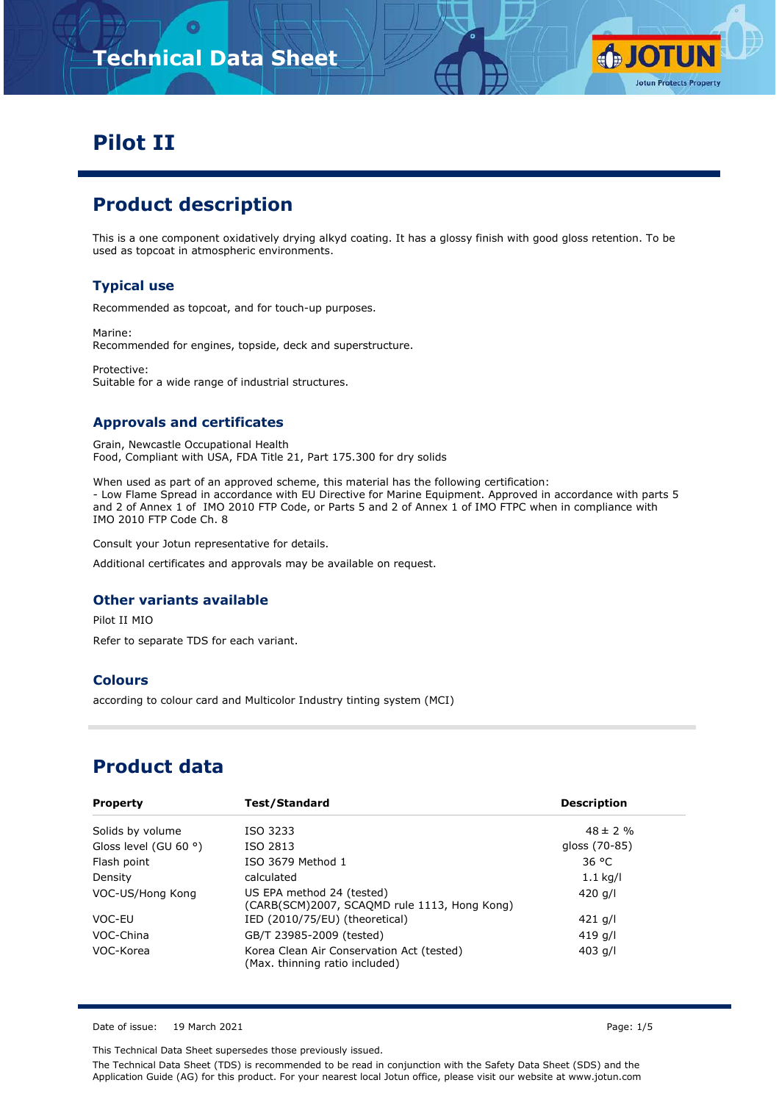# **Technical Data Sheet**



# **Pilot II**

# **Product description**

This is a one component oxidatively drying alkyd coating. It has a glossy finish with good gloss retention. To be used as topcoat in atmospheric environments.

### **Typical use**

Recommended as topcoat, and for touch-up purposes.

Marine: Recommended for engines, topside, deck and superstructure.

Protective: Suitable for a wide range of industrial structures.

### **Approvals and certificates**

Grain, Newcastle Occupational Health Food, Compliant with USA, FDA Title 21, Part 175.300 for dry solids

When used as part of an approved scheme, this material has the following certification: - Low Flame Spread in accordance with EU Directive for Marine Equipment. Approved in accordance with parts 5 and 2 of Annex 1 of IMO 2010 FTP Code, or Parts 5 and 2 of Annex 1 of IMO FTPC when in compliance with IMO 2010 FTP Code Ch. 8

Consult your Jotun representative for details.

Additional certificates and approvals may be available on request.

#### **Other variants available**

Pilot II MIO

Refer to separate TDS for each variant.

#### **Colours**

according to colour card and Multicolor Industry tinting system (MCI)

# **Product data**

| <b>Property</b>       | Test/Standard                                                               | <b>Description</b> |
|-----------------------|-----------------------------------------------------------------------------|--------------------|
| Solids by volume      | ISO 3233                                                                    | $48 \pm 2 \%$      |
| Gloss level (GU 60 °) | ISO 2813                                                                    | gloss (70-85)      |
| Flash point           | ISO 3679 Method 1                                                           | 36 °C              |
| Density               | calculated                                                                  | $1.1$ kg/l         |
| VOC-US/Hong Kong      | US EPA method 24 (tested)<br>(CARB(SCM)2007, SCAQMD rule 1113, Hong Kong)   | 420 g/l            |
| VOC-EU                | IED (2010/75/EU) (theoretical)                                              | $421$ g/l          |
| VOC-China             | GB/T 23985-2009 (tested)                                                    | 419 g/l            |
| VOC-Korea             | Korea Clean Air Conservation Act (tested)<br>(Max. thinning ratio included) | 403 g/l            |

Date of issue: 19 March 2021 Page: 1/5

This Technical Data Sheet supersedes those previously issued.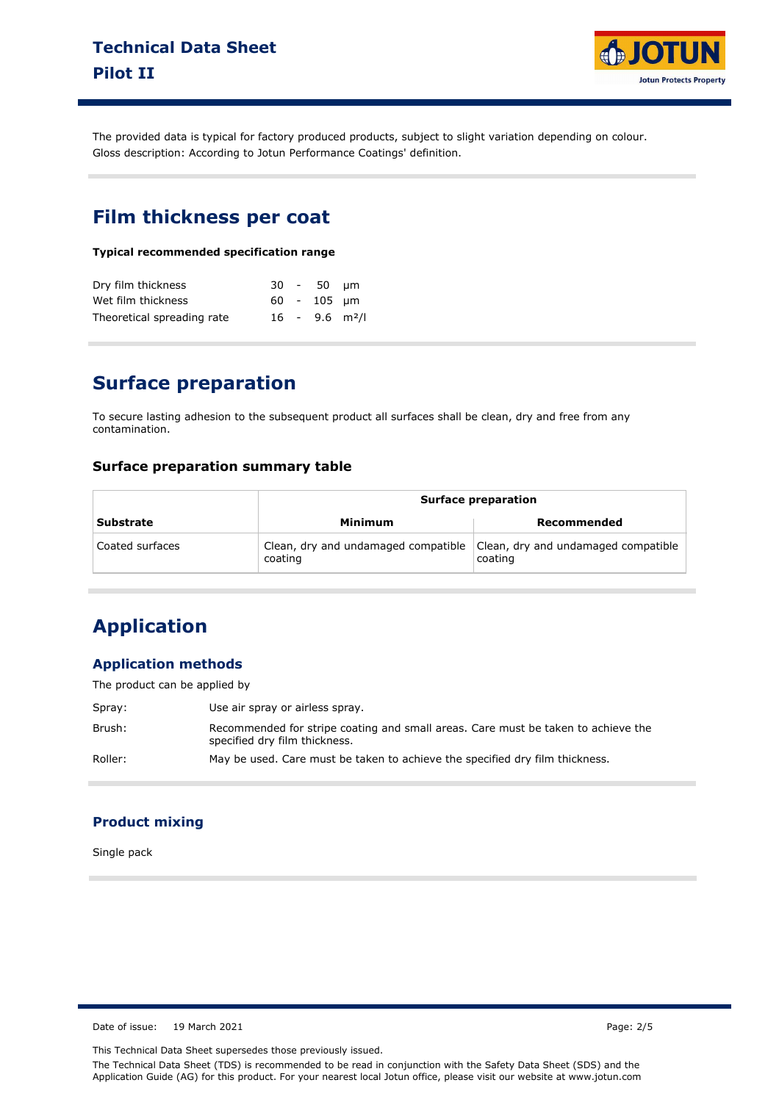

The provided data is typical for factory produced products, subject to slight variation depending on colour. Gloss description: According to Jotun Performance Coatings' definition.

### **Film thickness per coat**

**Typical recommended specification range**

| Dry film thickness         |  | 30 - 50 µm    |                              |
|----------------------------|--|---------------|------------------------------|
| Wet film thickness         |  | $60 - 105$ um |                              |
| Theoretical spreading rate |  |               | $16 - 9.6$ m <sup>2</sup> /l |

### **Surface preparation**

To secure lasting adhesion to the subsequent product all surfaces shall be clean, dry and free from any contamination.

### **Surface preparation summary table**

|                  | <b>Surface preparation</b>                     |                                                |  |  |
|------------------|------------------------------------------------|------------------------------------------------|--|--|
| <b>Substrate</b> | Minimum                                        | Recommended                                    |  |  |
| Coated surfaces  | Clean, dry and undamaged compatible<br>coating | Clean, dry and undamaged compatible<br>coating |  |  |

# **Application**

### **Application methods**

The product can be applied by

| Spray:  | Use air spray or airless spray.                                                                                    |
|---------|--------------------------------------------------------------------------------------------------------------------|
| Brush:  | Recommended for stripe coating and small areas. Care must be taken to achieve the<br>specified dry film thickness. |
| Roller: | May be used. Care must be taken to achieve the specified dry film thickness.                                       |

### **Product mixing**

Single pack

Date of issue: 19 March 2021 **Page: 2/5** 

This Technical Data Sheet supersedes those previously issued.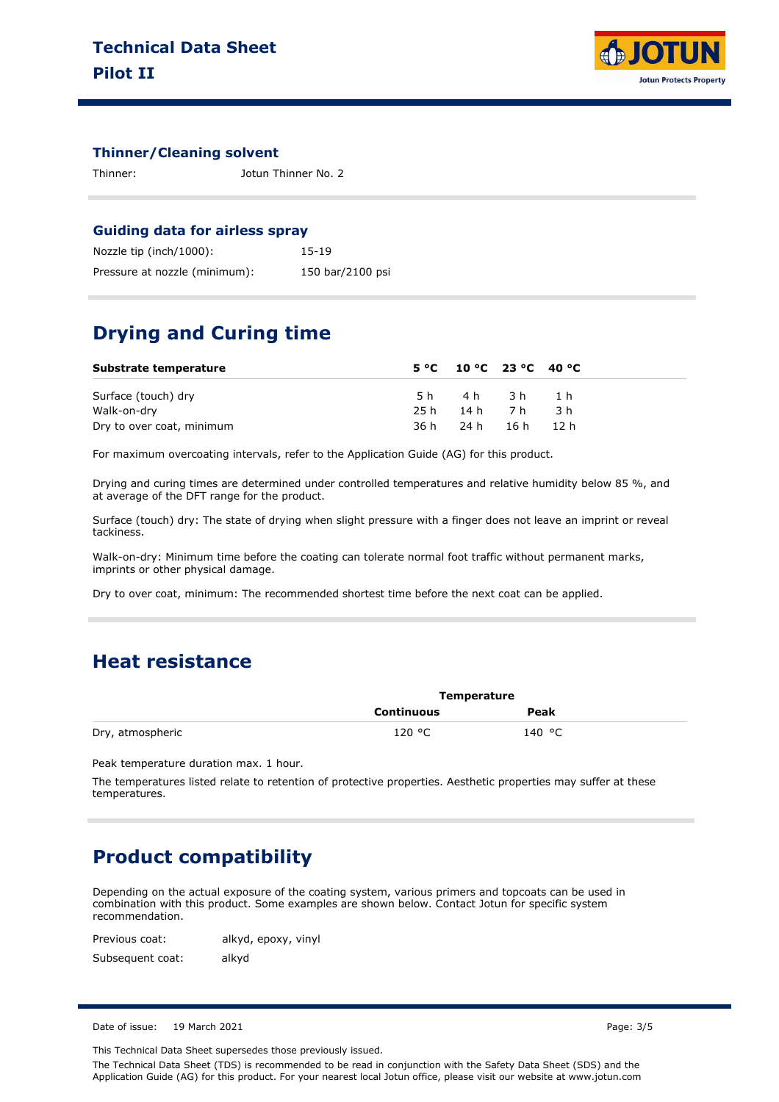

#### **Thinner/Cleaning solvent**

Thinner: Jotun Thinner No. 2

#### **Guiding data for airless spray**

| Nozzle tip (inch/1000):       | 15-19            |
|-------------------------------|------------------|
| Pressure at nozzle (minimum): | 150 bar/2100 psi |

### **Drying and Curing time**

| Substrate temperature     | $5^{\circ}$ C 10 °C 23 °C 40 °C |  |
|---------------------------|---------------------------------|--|
| Surface (touch) dry       | 5h 4h 3h 1h                     |  |
| Walk-on-dry               | 25h 14h 7h 3h                   |  |
| Dry to over coat, minimum | 36 h 24 h 16 h 12 h             |  |

For maximum overcoating intervals, refer to the Application Guide (AG) for this product.

Drying and curing times are determined under controlled temperatures and relative humidity below 85 %, and at average of the DFT range for the product.

Surface (touch) dry: The state of drying when slight pressure with a finger does not leave an imprint or reveal tackiness.

Walk-on-dry: Minimum time before the coating can tolerate normal foot traffic without permanent marks, imprints or other physical damage.

Dry to over coat, minimum: The recommended shortest time before the next coat can be applied.

### **Heat resistance**

|                  | Temperature       |        |  |
|------------------|-------------------|--------|--|
|                  | <b>Continuous</b> | Peak   |  |
| Dry, atmospheric | 120 °C            | 140 °C |  |

Peak temperature duration max. 1 hour.

The temperatures listed relate to retention of protective properties. Aesthetic properties may suffer at these temperatures.

### **Product compatibility**

Depending on the actual exposure of the coating system, various primers and topcoats can be used in combination with this product. Some examples are shown below. Contact Jotun for specific system recommendation.

Previous coat: Subsequent coat: alkyd, epoxy, vinyl alkyd

Date of issue: 19 March 2021 Page: 3/5

This Technical Data Sheet supersedes those previously issued.

The Technical Data Sheet (TDS) is recommended to be read in conjunction with the Safety Data Sheet (SDS) and the Application Guide (AG) for this product. For your nearest local Jotun office, please visit our website at www.jotun.com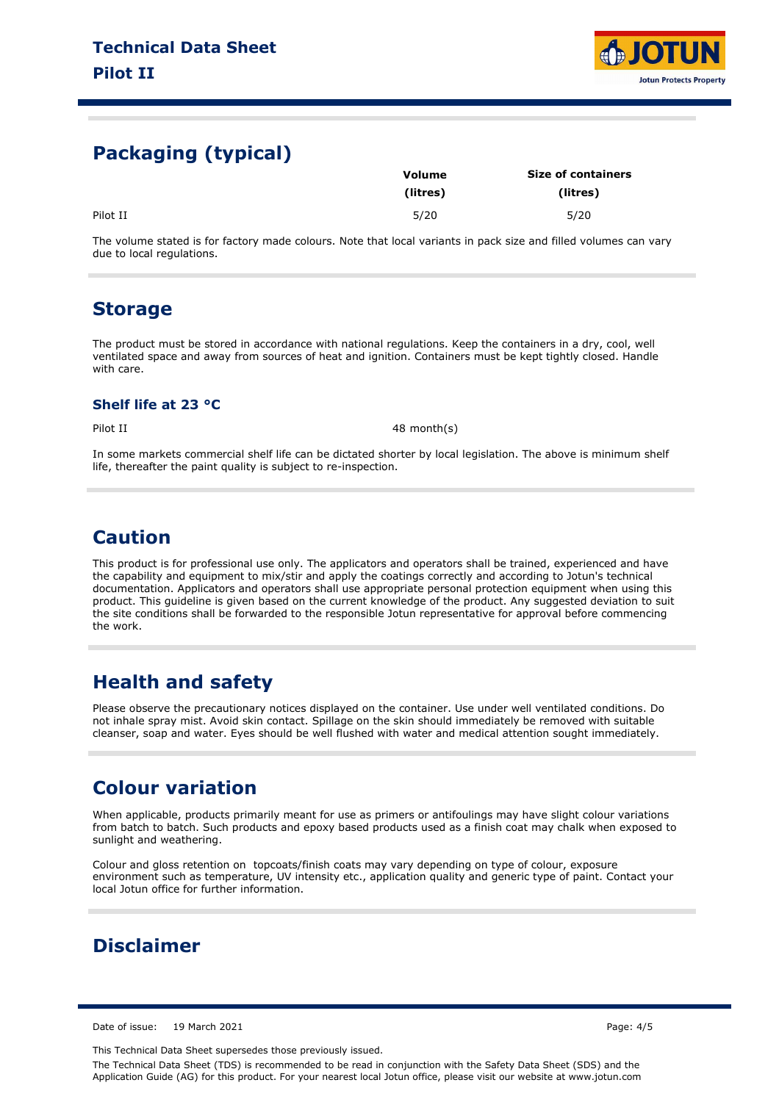

# **Packaging (typical)**

|          | <b>Volume</b> | <b>Size of containers</b> |  |
|----------|---------------|---------------------------|--|
|          | (litres)      | (litres)                  |  |
| Pilot II | 5/20          | 5/20                      |  |

The volume stated is for factory made colours. Note that local variants in pack size and filled volumes can vary due to local regulations.

### **Storage**

The product must be stored in accordance with national regulations. Keep the containers in a dry, cool, well ventilated space and away from sources of heat and ignition. Containers must be kept tightly closed. Handle with care.

### **Shelf life at 23 °C**

Pilot II 48 month(s)

In some markets commercial shelf life can be dictated shorter by local legislation. The above is minimum shelf life, thereafter the paint quality is subject to re-inspection.

### **Caution**

This product is for professional use only. The applicators and operators shall be trained, experienced and have the capability and equipment to mix/stir and apply the coatings correctly and according to Jotun's technical documentation. Applicators and operators shall use appropriate personal protection equipment when using this product. This guideline is given based on the current knowledge of the product. Any suggested deviation to suit the site conditions shall be forwarded to the responsible Jotun representative for approval before commencing the work.

# **Health and safety**

Please observe the precautionary notices displayed on the container. Use under well ventilated conditions. Do not inhale spray mist. Avoid skin contact. Spillage on the skin should immediately be removed with suitable cleanser, soap and water. Eyes should be well flushed with water and medical attention sought immediately.

# **Colour variation**

When applicable, products primarily meant for use as primers or antifoulings may have slight colour variations from batch to batch. Such products and epoxy based products used as a finish coat may chalk when exposed to sunlight and weathering.

Colour and gloss retention on topcoats/finish coats may vary depending on type of colour, exposure environment such as temperature, UV intensity etc., application quality and generic type of paint. Contact your local Jotun office for further information.

# **Disclaimer**

Date of issue: 19 March 2021 Page: 4/5

This Technical Data Sheet supersedes those previously issued.

The Technical Data Sheet (TDS) is recommended to be read in conjunction with the Safety Data Sheet (SDS) and the Application Guide (AG) for this product. For your nearest local Jotun office, please visit our website at www.jotun.com